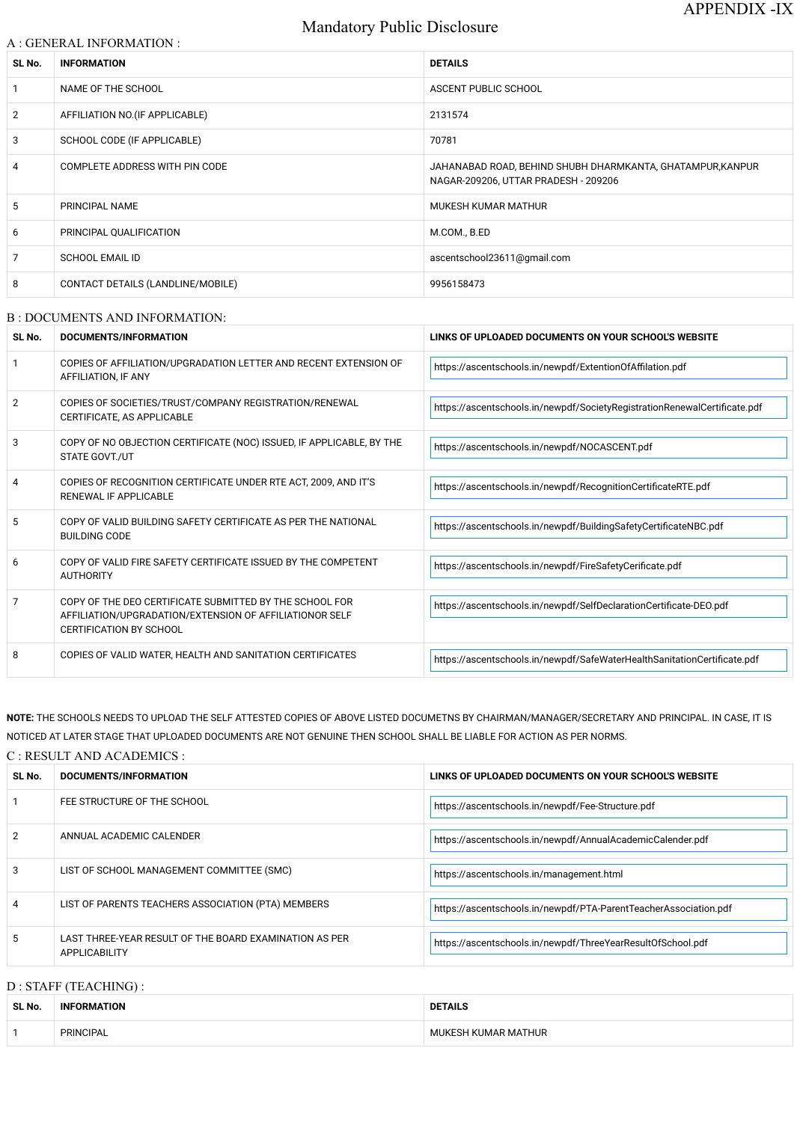# Mandatory Public Disclosure

### A : GENERAL INFORMATION :

| SL No.         | <b>INFORMATION</b>                    | <b>DETAILS</b>                                                                                     |
|----------------|---------------------------------------|----------------------------------------------------------------------------------------------------|
|                | NAME OF THE SCHOOL                    | ASCENT PUBLIC SCHOOL                                                                               |
| 2              | AFFILIATION NO. (IF APPLICABLE)       | 2131574                                                                                            |
| 3              | SCHOOL CODE (IF APPLICABLE)           | 70781                                                                                              |
| 4              | <b>COMPLETE ADDRESS WITH PIN CODE</b> | JAHANABAD ROAD, BEHIND SHUBH DHARMKANTA, GHATAMPUR, KANPUR<br>NAGAR-209206, UTTAR PRADESH - 209206 |
| 5              | PRINCIPAL NAME                        | MUKESH KUMAR MATHUR                                                                                |
| 6              | PRINCIPAL QUALIFICATION               | M.COM., B.ED                                                                                       |
| $\overline{7}$ | <b>SCHOOL EMAIL ID</b>                | ascentschool23611@gmail.com                                                                        |
| 8              | CONTACT DETAILS (LANDLINE/MOBILE)     | 9956158473                                                                                         |

#### B : DOCUMENTS AND INFORMATION:

| SL No.                | DOCUMENTS/INFORMATION                                                                                                                                | LINKS OF UPLOADED DOCUMENTS ON YOUR SCHOOL'S WEBSITE                      |  |
|-----------------------|------------------------------------------------------------------------------------------------------------------------------------------------------|---------------------------------------------------------------------------|--|
|                       | COPIES OF AFFILIATION/UPGRADATION LETTER AND RECENT EXTENSION OF<br>AFFILIATION, IF ANY                                                              | https://ascentschools.in/newpdf/ExtentionOfAffilation.pdf                 |  |
| $\mathbf{2}^{\prime}$ | COPIES OF SOCIETIES/TRUST/COMPANY REGISTRATION/RENEWAL<br>CERTIFICATE, AS APPLICABLE                                                                 | https://ascentschools.in/newpdf/SocietyRegistrationRenewalCertificate.pdf |  |
| 3                     | COPY OF NO OBJECTION CERTIFICATE (NOC) ISSUED, IF APPLICABLE, BY THE<br>STATE GOVT./UT                                                               | https://ascentschools.in/newpdf/NOCASCENT.pdf                             |  |
|                       | COPIES OF RECOGNITION CERTIFICATE UNDER RTE ACT, 2009, AND IT'S<br>RENEWAL IF APPLICABLE                                                             | https://ascentschools.in/newpdf/RecognitionCertificateRTE.pdf             |  |
| 5.                    | COPY OF VALID BUILDING SAFETY CERTIFICATE AS PER THE NATIONAL<br><b>BUILDING CODE</b>                                                                | https://ascentschools.in/newpdf/BuildingSafetyCertificateNBC.pdf          |  |
| 6                     | COPY OF VALID FIRE SAFETY CERTIFICATE ISSUED BY THE COMPETENT<br><b>AUTHORITY</b>                                                                    | https://ascentschools.in/newpdf/FireSafetyCerificate.pdf                  |  |
| 7                     | COPY OF THE DEO CERTIFICATE SUBMITTED BY THE SCHOOL FOR<br>AFFILIATION/UPGRADATION/EXTENSION OF AFFILIATIONOR SELF<br><b>CERTIFICATION BY SCHOOL</b> | https://ascentschools.in/newpdf/SelfDeclarationCertificate-DEO.pdf        |  |
| 8                     | COPIES OF VALID WATER, HEALTH AND SANITATION CERTIFICATES                                                                                            | https://ascentschools.in/newpdf/SafeWaterHealthSanitationCertificate.pdf  |  |

**NOTE:** THE SCHOOLS NEEDS TO UPLOAD THE SELF ATTESTED COPIES OF ABOVE LISTED DOCUMETNS BY CHAIRMAN/MANAGER/SECRETARY AND PRINCIPAL. IN CASE, IT IS NOTICED AT LATER STAGE THAT UPLOADED DOCUMENTS ARE NOT GENUINE THEN SCHOOL SHALL BE LIABLE FOR ACTION AS PER NORMS.

C : RESULT AND ACADEMICS :

| SL No. | <b>DOCUMENTS/INFORMATION</b> | LINKS OF UPLOADED DOCUMENTS ON YOUR SCHOOL'S WEBSITE       |
|--------|------------------------------|------------------------------------------------------------|
|        | FEE STRUCTURE OF THE SCHOOL  | https://ascentschools.in/newpdf/Fee-Structure.pdf          |
| 2      | ANNUAL ACADEMIC CALENDER     | https://ascentschools.in/newpdf/AnnualAcademicCalender.pdf |

| 3              | LIST OF SCHOOL MANAGEMENT COMMITTEE (SMC)                                      | https://ascentschools.in/management.html                         |  |
|----------------|--------------------------------------------------------------------------------|------------------------------------------------------------------|--|
| $\overline{4}$ | LIST OF PARENTS TEACHERS ASSOCIATION (PTA) MEMBERS                             | https://ascentschools.in/newpdf/PTA-ParentTeacherAssociation.pdf |  |
| 5              | LAST THREE-YEAR RESULT OF THE BOARD EXAMINATION AS PER<br><b>APPLICABILITY</b> | https://ascentschools.in/newpdf/ThreeYearResultOfSchool.pdf      |  |

# D : STAFF (TEACHING) :

| SL No. | <b>MATION</b><br><b>INF</b> | <b>DETAILS</b>      |
|--------|-----------------------------|---------------------|
|        | <b>PRINCIPAL</b>            | : MATHUR<br>…viAP " |